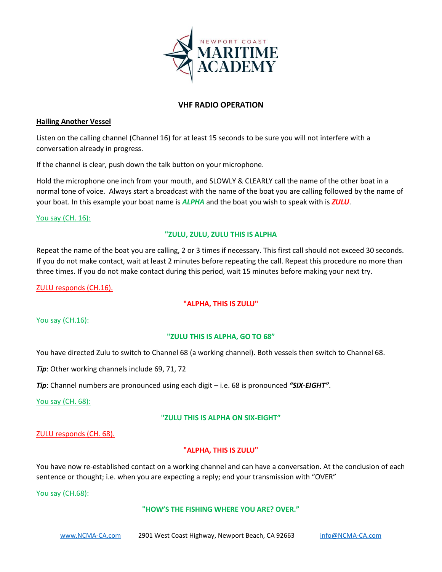

# **VHF RADIO OPERATION**

# **Hailing Another Vessel**

Listen on the calling channel (Channel 16) for at least 15 seconds to be sure you will not interfere with a conversation already in progress.

If the channel is clear, push down the talk button on your microphone.

Hold the microphone one inch from your mouth, and SLOWLY & CLEARLY call the name of the other boat in a normal tone of voice. Always start a broadcast with the name of the boat you are calling followed by the name of your boat. In this example your boat name is *ALPHA* and the boat you wish to speak with is *ZULU*.

### You say (CH. 16):

# **"ZULU, ZULU, ZULU THIS IS ALPHA**

Repeat the name of the boat you are calling, 2 or 3 times if necessary. This first call should not exceed 30 seconds. If you do not make contact, wait at least 2 minutes before repeating the call. Repeat this procedure no more than three times. If you do not make contact during this period, wait 15 minutes before making your next try.

ZULU responds (CH.16).

# **"ALPHA, THIS IS ZULU"**

# You say (CH.16):

# **"ZULU THIS IS ALPHA, GO TO 68"**

You have directed Zulu to switch to Channel 68 (a working channel). Both vessels then switch to Channel 68.

*Tip*: Other working channels include 69, 71, 72

*Tip*: Channel numbers are pronounced using each digit – i.e. 68 is pronounced *"SIX-EIGHT"*.

You say (CH. 68):

# **"ZULU THIS IS ALPHA ON SIX-EIGHT"**

#### ZULU responds (CH. 68).

# **"ALPHA, THIS IS ZULU"**

You have now re-established contact on a working channel and can have a conversation. At the conclusion of each sentence or thought; i.e. when you are expecting a reply; end your transmission with "OVER"

You say (CH.68):

#### **"HOW'S THE FISHING WHERE YOU ARE? OVER."**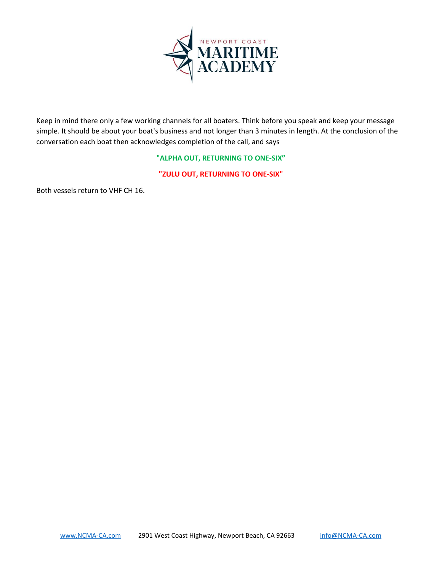

Keep in mind there only a few working channels for all boaters. Think before you speak and keep your message simple. It should be about your boat's business and not longer than 3 minutes in length. At the conclusion of the conversation each boat then acknowledges completion of the call, and says

### **"ALPHA OUT, RETURNING TO ONE-SIX"**

**"ZULU OUT, RETURNING TO ONE-SIX"**

Both vessels return to VHF CH 16.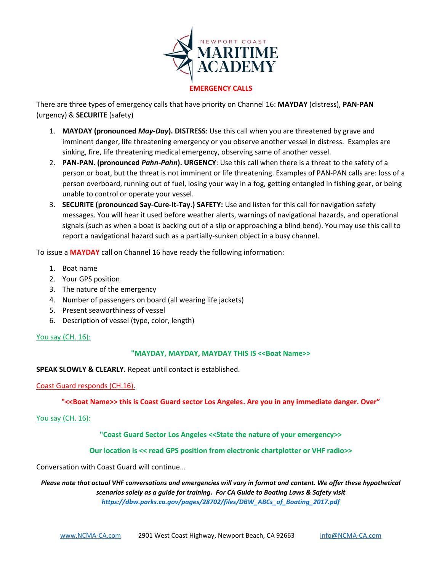

### **EMERGENCY CALLS**

There are three types of emergency calls that have priority on Channel 16: **MAYDAY** (distress), **PAN-PAN** (urgency) & **SECURITE** (safety)

- 1. **MAYDAY (pronounced** *May-Day***). DISTRESS**: Use this call when you are threatened by grave and imminent danger, life threatening emergency or you observe another vessel in distress. Examples are sinking, fire, life threatening medical emergency, observing same of another vessel.
- 2. **PAN-PAN. (pronounced** *Pahn-Pahn***). URGENCY**: Use this call when there is a threat to the safety of a person or boat, but the threat is not imminent or life threatening. Examples of PAN-PAN calls are: loss of a person overboard, running out of fuel, losing your way in a fog, getting entangled in fishing gear, or being unable to control or operate your vessel.
- 3. **SECURITE (pronounced Say-Cure-It-Tay.) SAFETY:** Use and listen for this call for navigation safety messages. You will hear it used before weather alerts, warnings of navigational hazards, and operational signals (such as when a boat is backing out of a slip or approaching a blind bend). You may use this call to report a navigational hazard such as a partially-sunken object in a busy channel.

To issue a **MAYDAY** call on Channel 16 have ready the following information:

- 1. Boat name
- 2. Your GPS position
- 3. The nature of the emergency
- 4. Number of passengers on board (all wearing life jackets)
- 5. Present seaworthiness of vessel
- 6. Description of vessel (type, color, length)

# You say (CH. 16):

# **"MAYDAY, MAYDAY, MAYDAY THIS IS <<Boat Name>>**

**SPEAK SLOWLY & CLEARLY.** Repeat until contact is established.

# Coast Guard responds (CH.16).

**"<<Boat Name>> this is Coast Guard sector Los Angeles. Are you in any immediate danger. Over"**

#### You say (CH. 16):

# **"Coast Guard Sector Los Angeles <<State the nature of your emergency>>**

# **Our location is << read GPS position from electronic chartplotter or VHF radio>>**

Conversation with Coast Guard will continue...

*Please note that actual VHF conversations and emergencies will vary in format and content. We offer these hypothetical scenarios solely as a guide for training. For CA Guide to Boating Laws & Safety visit [https://dbw.parks.ca.gov/pages/28702/files/DBW\\_ABCs\\_of\\_Boating\\_2017.pdf](https://dbw.parks.ca.gov/pages/28702/files/DBW_ABCs_of_Boating_2017.pdf)*